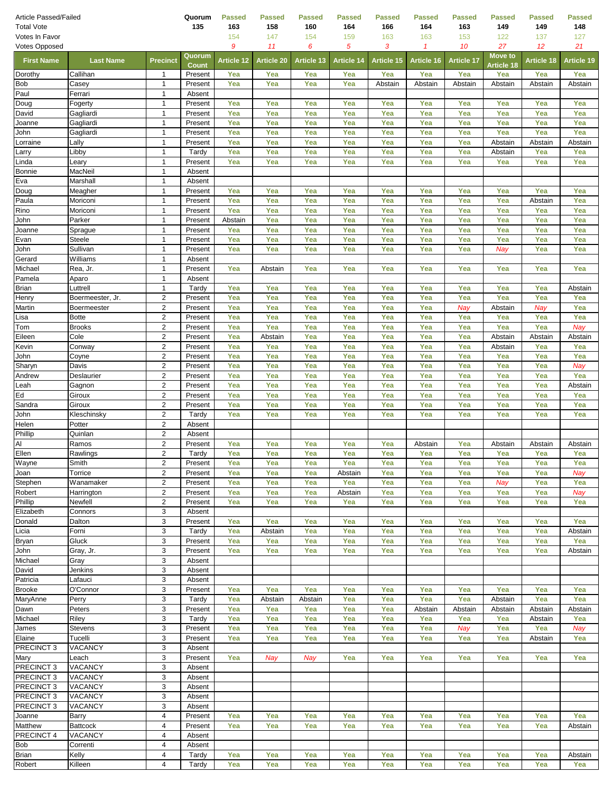| Article Passed/Failed<br><b>Total Vote</b> |                           |                                  | Quorum<br>135           | <b>Passed</b><br>163 | <b>Passed</b><br>158 | <b>Passed</b><br>160 | <b>Passed</b><br>164 | Passed<br>166     | Passed<br>164  | <b>Passed</b><br>163 | <b>Passed</b><br>149     | <b>Passed</b><br>149 | Passed<br>148  |
|--------------------------------------------|---------------------------|----------------------------------|-------------------------|----------------------|----------------------|----------------------|----------------------|-------------------|----------------|----------------------|--------------------------|----------------------|----------------|
| Votes In Favor                             |                           |                                  |                         | 154                  | 147                  | 154                  | 159                  | 163               | 163            | 153                  | 122                      | 137                  | 127            |
| <b>Votes Opposed</b>                       |                           |                                  |                         | 9                    | 11                   | 6                    | 5                    | 3                 | 1              | 10                   | 27                       | 12                   | 21             |
| <b>First Name</b>                          | <b>Last Name</b>          | <b>Precinct</b>                  | Quorum                  | <b>Article 12</b>    | <b>Article 20</b>    | <b>Article 13</b>    | <b>Article 14</b>    | <b>Article 15</b> | Article 16     | <b>Article 17</b>    | <b>Move to</b>           | Article 18           | Article 19     |
| Dorothy                                    | Callihan                  | 1                                | <b>Count</b><br>Present | Yea                  | Yea                  | Yea                  | Yea                  | Yea               | Yea            | Yea                  | <b>Article 18</b><br>Yea | Yea                  | Yea            |
| <b>Bob</b>                                 | Casey                     | 1                                | Present                 | Yea                  | Yea                  | Yea                  | Yea                  | Abstain           | Abstain        | Abstain              | Abstain                  | Abstain              | Abstain        |
| Paul                                       | Ferrari                   | $\mathbf{1}$                     | Absent                  |                      |                      |                      |                      |                   |                |                      |                          |                      |                |
| Doug                                       | Fogerty                   | 1                                | Present                 | Yea                  | Yea                  | Yea                  | Yea                  | Yea               | Yea            | Yea                  | Yea                      | Yea                  | Yea            |
| David                                      | Gagliardi                 | $\mathbf{1}$                     | Present                 | Yea                  | Yea                  | Yea                  | Yea                  | Yea               | Yea            | Yea                  | Yea                      | Yea                  | Yea            |
| Joanne<br>John                             | Gagliardi<br>Gagliardi    | 1<br>$\mathbf{1}$                | Present<br>Present      | Yea<br>Yea           | Yea<br>Yea           | Yea<br>Yea           | Yea<br>Yea           | Yea<br>Yea        | Yea<br>Yea     | Yea<br>Yea           | Yea<br>Yea               | Yea<br>Yea           | Yea<br>Yea     |
| _orraine                                   | Lally                     | $\mathbf{1}$                     | Present                 | Yea                  | Yea                  | Yea                  | Yea                  | Yea               | Yea            | Yea                  | Abstain                  | Abstain              | Abstain        |
| _arry                                      | Libby                     | 1                                | Tardy                   | Yea                  | Yea                  | Yea                  | Yea                  | Yea               | Yea            | Yea                  | Abstain                  | Yea                  | Yea            |
| Linda                                      | Leary                     | 1                                | Present                 | Yea                  | Yea                  | Yea                  | Yea                  | Yea               | Yea            | Yea                  | Yea                      | Yea                  | Yea            |
| <b>Bonnie</b>                              | MacNeil                   | $\mathbf{1}$                     | Absent                  |                      |                      |                      |                      |                   |                |                      |                          |                      |                |
| Eva                                        | Marshall                  | $\mathbf{1}$                     | Absent                  |                      |                      |                      |                      |                   |                |                      |                          |                      |                |
| Doug<br>Paula                              | Meagher<br>Moriconi       | 1<br>$\mathbf{1}$                | Present<br>Present      | Yea<br>Yea           | Yea<br>Yea           | Yea<br>Yea           | Yea<br>Yea           | Yea<br>Yea        | Yea<br>Yea     | Yea<br>Yea           | Yea<br>Yea               | Yea<br>Abstain       | Yea<br>Yea     |
| Rino                                       | Moriconi                  | $\mathbf{1}$                     | Present                 | Yea                  | Yea                  | Yea                  | Yea                  | Yea               | Yea            | Yea                  | Yea                      | Yea                  | Yea            |
| John                                       | Parker                    | $\mathbf{1}$                     | Present                 | Abstain              | Yea                  | Yea                  | Yea                  | Yea               | Yea            | Yea                  | Yea                      | Yea                  | Yea            |
| Joanne                                     | Sprague                   | 1                                | Present                 | Yea                  | Yea                  | Yea                  | Yea                  | Yea               | Yea            | Yea                  | Yea                      | Yea                  | Yea            |
| Evan                                       | Steele                    | $\mathbf{1}$                     | Present                 | Yea                  | Yea                  | Yea                  | Yea                  | Yea               | Yea            | Yea                  | Yea                      | Yea                  | Yea            |
| John                                       | Sullivan                  | $\mathbf{1}$                     | Present                 | Yea                  | Yea                  | Yea                  | Yea                  | Yea               | Yea            | Yea                  | Nay                      | Yea                  | Yea            |
| Gerard<br>Michael                          | Williams<br>Rea, Jr.      | $\mathbf{1}$<br>1                | Absent<br>Present       | Yea                  | Abstain              | Yea                  | Yea                  | Yea               | Yea            | Yea                  | Yea                      | Yea                  | Yea            |
| Pamela                                     | Aparo                     | $\mathbf{1}$                     | Absent                  |                      |                      |                      |                      |                   |                |                      |                          |                      |                |
| <b>Brian</b>                               | Luttrell                  | 1                                | Tardy                   | Yea                  | Yea                  | Yea                  | Yea                  | Yea               | Yea            | Yea                  | Yea                      | Yea                  | Abstain        |
| Henry                                      | Boermeester, Jr.          | $\overline{2}$                   | Present                 | Yea                  | Yea                  | Yea                  | Yea                  | Yea               | Yea            | Yea                  | Yea                      | Yea                  | Yea            |
| Martin                                     | <b>Boermeester</b>        | $\overline{2}$                   | Present                 | Yea                  | Yea                  | Yea                  | Yea                  | Yea               | Yea            | Nay                  | Abstain                  | Nay                  | Yea            |
| Lisa                                       | <b>Botte</b>              | $\overline{2}$                   | Present                 | Yea                  | Yea                  | Yea                  | Yea                  | Yea               | Yea            | Yea                  | Yea                      | Yea                  | Yea            |
| Tom<br>Eileen                              | <b>Brooks</b><br>Cole     | $\overline{2}$<br>$\overline{2}$ | Present<br>Present      | Yea<br>Yea           | Yea<br>Abstain       | Yea<br>Yea           | Yea<br>Yea           | Yea<br>Yea        | Yea<br>Yea     | Yea<br>Yea           | Yea<br>Abstain           | Yea<br>Abstain       | Nay<br>Abstain |
| Kevin                                      | Conway                    | $\overline{2}$                   | Present                 | Yea                  | Yea                  | Yea                  | Yea                  | Yea               | Yea            | Yea                  | Abstain                  | Yea                  | Yea            |
| John                                       | Coyne                     | $\overline{c}$                   | Present                 | Yea                  | Yea                  | Yea                  | Yea                  | Yea               | Yea            | Yea                  | Yea                      | Yea                  | Yea            |
| Sharyn                                     | Davis                     | 2                                | Present                 | Yea                  | Yea                  | Yea                  | Yea                  | Yea               | Yea            | Yea                  | Yea                      | Yea                  | Nay            |
| Andrew                                     | Deslaurier                | $\overline{2}$                   | Present                 | Yea                  | Yea                  | Yea                  | Yea                  | Yea               | Yea            | Yea                  | Yea                      | Yea                  | Yea            |
| Leah                                       | Gagnon                    | $\overline{2}$                   | Present                 | Yea                  | Yea                  | Yea                  | Yea                  | Yea               | Yea            | Yea                  | Yea                      | Yea                  | Abstain        |
| Ed                                         | Giroux                    | $\overline{2}$<br>2              | Present                 | Yea                  | Yea                  | Yea                  | Yea                  | Yea               | Yea            | Yea                  | Yea                      | Yea                  | Yea            |
| Sandra<br>John                             | Giroux<br>Kleschinsky     | 2                                | Present<br>Tardy        | Yea<br>Yea           | Yea<br>Yea           | Yea<br>Yea           | Yea<br>Yea           | Yea<br>Yea        | Yea<br>Yea     | Yea<br>Yea           | Yea<br>Yea               | Yea<br>Yea           | Yea<br>Yea     |
| Helen                                      | Potter                    | $\overline{2}$                   | Absent                  |                      |                      |                      |                      |                   |                |                      |                          |                      |                |
| Phillip                                    | Quinlan                   | $\overline{c}$                   | Absent                  |                      |                      |                      |                      |                   |                |                      |                          |                      |                |
| Al                                         | Ramos                     | $\overline{2}$                   | Present                 | Yea                  | Yea                  | Yea                  | Yea                  | Yea               | Abstain        | Yea                  | Abstain                  | Abstain              | Abstain        |
| Ellen                                      | Rawlings                  | $\overline{2}$                   | Tardy                   | Yea                  | Yea                  | Yea                  | Yea                  | Yea               | Yea            | Yea                  | Yea                      | Yea                  | Yea            |
| Wayne                                      | Smith                     | 2                                | Present                 | Yea                  | Yea                  | Yea                  | Yea                  | Yea               | Yea            | Yea                  | Yea                      | Yea                  | Yea            |
| Joan<br>Stephen                            | Torrice<br>Wanamaker      | $\overline{2}$<br>$\overline{c}$ | Present<br>Present      | Yea<br>Yea           | Yea<br>Yea           | Yea<br>Yea           | Abstain<br>Yea       | Yea<br>Yea        | Yea<br>Yea     | Yea<br>Yea           | Yea<br>Nay               | Yea<br>Yea           | Nay<br>Yea     |
| Robert                                     | Harrington                | 2                                | Present                 | Yea                  | Yea                  | Yea                  | Abstain              | Yea               | Yea            | Yea                  | Yea                      | Yea                  | Nay            |
| Phillip                                    | Newfell                   | $\overline{2}$                   | Present                 | Yea                  | Yea                  | Yea                  | Yea                  | Yea               | Yea            | Yea                  | Yea                      | Yea                  | Yea            |
| Elizabeth                                  | Connors                   | 3                                | Absent                  |                      |                      |                      |                      |                   |                |                      |                          |                      |                |
| Donald                                     | Dalton                    | 3                                | Present                 | Yea                  | Yea                  | Yea                  | Yea                  | Yea               | Yea            | Yea                  | Yea                      | Yea                  | Yea            |
| Licia                                      | Forni<br>Gluck            | 3                                | Tardy                   | Yea                  | Abstain              | Yea                  | Yea                  | Yea               | Yea            | Yea                  | Yea                      | Yea                  | Abstain        |
| Bryan<br>John                              | Gray, Jr.                 | 3<br>3                           | Present<br>Present      | Yea<br>Yea           | Yea<br>Yea           | Yea<br>Yea           | Yea<br>Yea           | Yea<br>Yea        | Yea<br>Yea     | Yea<br>Yea           | Yea<br>Yea               | Yea<br>Yea           | Yea<br>Abstain |
| Michael                                    | Gray                      | 3                                | Absent                  |                      |                      |                      |                      |                   |                |                      |                          |                      |                |
| David                                      | Jenkins                   | 3                                | Absent                  |                      |                      |                      |                      |                   |                |                      |                          |                      |                |
| Patricia                                   | Lafauci                   | 3                                | Absent                  |                      |                      |                      |                      |                   |                |                      |                          |                      |                |
| <b>Brooke</b>                              | O'Connor                  | 3                                | Present                 | Yea                  | Yea                  | Yea                  | Yea                  | Yea               | Yea            | Yea                  | Yea                      | Yea                  | Yea            |
| MaryAnne<br>Dawn                           | Perry<br>Peters           | 3<br>3                           | Tardy<br>Present        | Yea<br>Yea           | Abstain<br>Yea       | Abstain<br>Yea       | Yea<br>Yea           | Yea<br>Yea        | Yea<br>Abstain | Yea<br>Abstain       | Abstain<br>Abstain       | Yea<br>Abstain       | Yea<br>Abstain |
| Michael                                    | Riley                     | 3                                | Tardy                   | Yea                  | Yea                  | Yea                  | Yea                  | Yea               | Yea            | Yea                  | Yea                      | Abstain              | Yea            |
| James                                      | Stevens                   | 3                                | Present                 | Yea                  | Yea                  | Yea                  | Yea                  | Yea               | Yea            | Nay                  | Yea                      | Yea                  | Nay            |
| Elaine                                     | Tucelli                   | 3                                | Present                 | Yea                  | Yea                  | Yea                  | Yea                  | Yea               | Yea            | Yea                  | Yea                      | Abstain              | Yea            |
| PRECINCT <sub>3</sub>                      | VACANCY                   | 3                                | Absent                  |                      |                      |                      |                      |                   |                |                      |                          |                      |                |
| Mary                                       | Leach                     | 3                                | Present                 | Yea                  | Nay                  | Nay                  | Yea                  | Yea               | Yea            | Yea                  | Yea                      | Yea                  | Yea            |
| PRECINCT 3                                 | VACANCY<br><b>VACANCY</b> | 3<br>3                           | Absent                  |                      |                      |                      |                      |                   |                |                      |                          |                      |                |
| PRECINCT 3<br>PRECINCT 3                   | VACANCY                   | 3                                | Absent<br>Absent        |                      |                      |                      |                      |                   |                |                      |                          |                      |                |
| PRECINCT 3                                 | <b>VACANCY</b>            | 3                                | Absent                  |                      |                      |                      |                      |                   |                |                      |                          |                      |                |
| PRECINCT 3                                 | <b>VACANCY</b>            | 3                                | Absent                  |                      |                      |                      |                      |                   |                |                      |                          |                      |                |
| Joanne                                     | Barry                     | $\overline{\mathbf{4}}$          | Present                 | Yea                  | Yea                  | Yea                  | Yea                  | Yea               | Yea            | Yea                  | Yea                      | Yea                  | Yea            |
| Matthew                                    | <b>Battcock</b>           | $\overline{\mathbf{4}}$          | Present                 | Yea                  | Yea                  | Yea                  | Yea                  | Yea               | Yea            | Yea                  | Yea                      | Yea                  | Abstain        |
| PRECINCT 4                                 | <b>VACANCY</b>            | 4                                | Absent                  |                      |                      |                      |                      |                   |                |                      |                          |                      |                |
| Bob<br>Brian                               | Correnti<br>Kelly         | 4<br>$\overline{\mathbf{4}}$     | Absent<br>Tardy         | Yea                  | Yea                  | Yea                  | Yea                  | Yea               | Yea            | Yea                  | Yea                      | Yea                  | Abstain        |
| Robert                                     | Killeen                   | $\overline{4}$                   | Tardy                   | Yea                  | Yea                  | Yea                  | Yea                  | Yea               | Yea            | Yea                  | Yea                      | Yea                  | Yea            |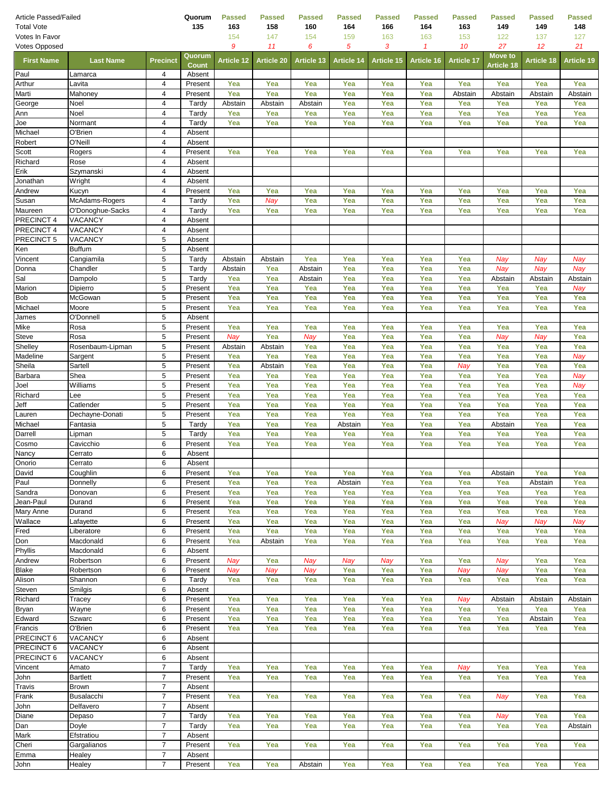| Article Passed/Failed<br><b>Total Vote</b> |                           |                         | Quorum<br>135      | <b>Passed</b><br>163 | Passed<br>158     | <b>Passed</b><br>160 | <b>Passed</b><br>164 | Passed<br>166     | <b>Passed</b><br>164 | <b>Passed</b><br>163 | <b>Passed</b><br>149 | <b>Passed</b><br>149 | <b>Passed</b><br>148 |
|--------------------------------------------|---------------------------|-------------------------|--------------------|----------------------|-------------------|----------------------|----------------------|-------------------|----------------------|----------------------|----------------------|----------------------|----------------------|
| Votes In Favor                             |                           |                         |                    | 154                  | 147               | 154                  | 159                  | 163               | 163                  | 153                  | 122                  | 137                  | 127                  |
| <b>Votes Opposed</b>                       |                           |                         |                    | 9                    | 11                | 6                    | 5                    | 3                 | 1                    | 10                   | 27                   | 12                   | 21                   |
| <b>First Name</b>                          | <b>Last Name</b>          | <b>Precinct</b>         | Quorum             | <b>Article 12</b>    | <b>Article 20</b> | <b>Article 13</b>    | <b>Article 14</b>    | <b>Article 15</b> | Article 16           | <b>Article 17</b>    | <b>Move to</b>       | <b>Article 18</b>    | <b>Article 19</b>    |
| Paul                                       | Lamarca                   | 4                       | Count<br>Absent    |                      |                   |                      |                      |                   |                      |                      | Article 18           |                      |                      |
| Arthur                                     | Lavita                    | $\overline{4}$          | Present            | Yea                  | Yea               | Yea                  | Yea                  | Yea               | Yea                  | Yea                  | Yea                  | Yea                  | Yea                  |
| Marti                                      | Mahoney                   | 4                       | Present            | Yea                  | Yea               | Yea                  | Yea                  | Yea               | Yea                  | Abstain              | Abstain              | Abstain              | Abstain              |
| George                                     | Noel                      | 4                       | Tardy              | Abstain              | Abstain           | Abstain              | Yea                  | Yea               | Yea                  | Yea                  | Yea                  | Yea                  | Yea                  |
| Ann                                        | Noel                      | $\overline{\mathbf{4}}$ | Tardy              | Yea                  | Yea               | Yea                  | Yea                  | Yea               | Yea                  | Yea                  | Yea                  | Yea                  | Yea                  |
| Joe                                        | Normant                   | 4                       | Tardy              | Yea                  | Yea               | Yea                  | Yea                  | Yea               | Yea                  | Yea                  | Yea                  | Yea                  | Yea                  |
| Michael                                    | O'Brien                   | $\overline{\mathbf{4}}$ | Absent             |                      |                   |                      |                      |                   |                      |                      |                      |                      |                      |
| Robert                                     | O'Neill                   | $\overline{4}$          | Absent             |                      |                   |                      |                      |                   |                      |                      |                      |                      |                      |
| Scott<br>Richard                           | Rogers<br>Rose            | 4<br>4                  | Present<br>Absent  | Yea                  | Yea               | Yea                  | Yea                  | Yea               | Yea                  | Yea                  | Yea                  | Yea                  | Yea                  |
| Erik                                       | Szymanski                 | $\overline{\mathbf{4}}$ | Absent             |                      |                   |                      |                      |                   |                      |                      |                      |                      |                      |
| Jonathan                                   | Wright                    | 4                       | Absent             |                      |                   |                      |                      |                   |                      |                      |                      |                      |                      |
| Andrew                                     | Kucyn                     | 4                       | Present            | Yea                  | Yea               | Yea                  | Yea                  | Yea               | Yea                  | Yea                  | Yea                  | Yea                  | Yea                  |
| Susan                                      | McAdams-Rogers            | 4                       | Tardy              | Yea                  | Nay               | Yea                  | Yea                  | Yea               | Yea                  | Yea                  | Yea                  | Yea                  | Yea                  |
| Maureen                                    | O'Donoghue-Sacks          | 4                       | Tardy              | Yea                  | Yea               | Yea                  | Yea                  | Yea               | Yea                  | Yea                  | Yea                  | Yea                  | Yea                  |
| PRECINCT 4                                 | VACANCY                   | 4                       | Absent             |                      |                   |                      |                      |                   |                      |                      |                      |                      |                      |
| PRECINCT 4                                 | VACANCY                   | $\overline{\mathbf{4}}$ | Absent             |                      |                   |                      |                      |                   |                      |                      |                      |                      |                      |
| PRECINCT 5                                 | VACANCY                   | 5                       | Absent             |                      |                   |                      |                      |                   |                      |                      |                      |                      |                      |
| Ken                                        | <b>Buffum</b>             | 5                       | Absent             |                      |                   |                      |                      |                   |                      |                      |                      |                      |                      |
| Vincent                                    | Cangiamila                | 5                       | Tardy              | Abstain              | Abstain           | Yea                  | Yea                  | Yea               | Yea                  | Yea                  | Nay                  | Nay                  | Nay                  |
| Donna<br>Sal                               | Chandler<br>Dampolo       | 5<br>5                  | Tardy<br>Tardy     | Abstain<br>Yea       | Yea<br>Yea        | Abstain<br>Abstain   | Yea<br>Yea           | Yea<br>Yea        | Yea<br>Yea           | Yea<br>Yea           | Nay<br>Abstain       | Nay<br>Abstain       | Nay                  |
| Marion                                     | Dipierro                  | 5                       | Present            | Yea                  | Yea               | Yea                  | Yea                  | Yea               | Yea                  | Yea                  | Yea                  | Yea                  | Abstain<br>Nay       |
| Bob                                        | McGowan                   | 5                       | Present            | Yea                  | Yea               | Yea                  | Yea                  | Yea               | Yea                  | Yea                  | Yea                  | Yea                  | Yea                  |
| Michael                                    | Moore                     | 5                       | Present            | Yea                  | Yea               | Yea                  | Yea                  | Yea               | Yea                  | Yea                  | Yea                  | Yea                  | Yea                  |
| James                                      | O'Donnell                 | 5                       | Absent             |                      |                   |                      |                      |                   |                      |                      |                      |                      |                      |
| Mike                                       | Rosa                      | 5                       | Present            | Yea                  | Yea               | Yea                  | Yea                  | Yea               | Yea                  | Yea                  | Yea                  | Yea                  | Yea                  |
| Steve                                      | Rosa                      | 5                       | Present            | Nay                  | Yea               | Nay                  | Yea                  | Yea               | Yea                  | Yea                  | Nay                  | Nay                  | Yea                  |
| Shelley                                    | Rosenbaum-Lipman          | 5                       | Present            | Abstain              | Abstain           | Yea                  | Yea                  | Yea               | Yea                  | Yea                  | Yea                  | Yea                  | Yea                  |
| Madeline                                   | Sargent                   | 5                       | Present            | Yea                  | Yea               | Yea                  | Yea                  | Yea               | Yea                  | Yea                  | Yea                  | Yea                  | Nay                  |
| Sheila                                     | Sartell                   | 5                       | Present            | Yea                  | Abstain           | Yea                  | Yea                  | Yea               | Yea                  | Nay                  | Yea                  | Yea                  | Yea                  |
| Barbara                                    | Shea                      | 5                       | Present            | Yea                  | Yea               | Yea                  | Yea                  | Yea               | Yea                  | Yea                  | Yea                  | Yea                  | Nay                  |
| Joel<br>Richard                            | Williams<br>Lee           | 5<br>5                  | Present<br>Present | Yea<br>Yea           | Yea<br>Yea        | Yea<br>Yea           | Yea<br>Yea           | Yea<br>Yea        | Yea<br>Yea           | Yea<br>Yea           | Yea<br>Yea           | Yea<br>Yea           | Nay<br>Yea           |
| Jeff                                       | Catlender                 | 5                       | Present            | Yea                  | Yea               | Yea                  | Yea                  | Yea               | Yea                  | Yea                  | Yea                  | Yea                  | Yea                  |
| Lauren                                     | Dechayne-Donati           | 5                       | Present            | Yea                  | Yea               | Yea                  | Yea                  | Yea               | Yea                  | Yea                  | Yea                  | Yea                  | Yea                  |
| Michael                                    | Fantasia                  | 5                       | Tardy              | Yea                  | Yea               | Yea                  | Abstain              | Yea               | Yea                  | Yea                  | Abstain              | Yea                  | Yea                  |
| Darrell                                    | Lipman                    | 5                       | Tardy              | Yea                  | Yea               | Yea                  | Yea                  | Yea               | Yea                  | Yea                  | Yea                  | Yea                  | Yea                  |
| Cosmo                                      | Cavicchio                 | 6                       | Present            | Yea                  | Yea               | Yea                  | Yea                  | Yea               | Yea                  | Yea                  | Yea                  | Yea                  | Yea                  |
| Nancy                                      | Cerrato                   | 6                       | Absent             |                      |                   |                      |                      |                   |                      |                      |                      |                      |                      |
| Onorio                                     | Cerrato                   | 6                       | Absent             |                      |                   |                      |                      |                   |                      |                      |                      |                      |                      |
| David                                      | Coughlin                  | 6                       | Present            | Yea                  | Yea               | Yea                  | Yea                  | Yea               | Yea                  | Yea                  | Abstain              | Yea                  | Yea                  |
| Paul                                       | Donnelly                  | 6                       | Present            | Yea                  | Yea               | Yea                  | Abstain              | Yea               | Yea                  | Yea                  | Yea                  | Abstain              | Yea                  |
| Sandra                                     | Donovan                   | 6                       | Present            | Yea                  | Yea               | Yea                  | Yea                  | Yea               | Yea                  | Yea                  | Yea                  | Yea                  | Yea                  |
| Jean-Paul<br>Mary Anne                     | Durand<br>Durand          | 6<br>6                  | Present<br>Present | Yea<br>Yea           | Yea<br>Yea        | Yea<br>Yea           | Yea<br>Yea           | Yea<br>Yea        | Yea<br>Yea           | Yea<br>Yea           | Yea<br>Yea           | Yea<br>Yea           | Yea<br>Yea           |
| Wallace                                    | Lafayette                 | 6                       | Present            | Yea                  | Yea               | Yea                  | Yea                  | Yea               | Yea                  | Yea                  | Nay                  | Nay                  | Nay                  |
| Fred                                       | Liberatore                | 6                       | Present            | Yea                  | Yea               | Yea                  | Yea                  | Yea               | Yea                  | Yea                  | Yea                  | Yea                  | Yea                  |
| Don                                        | Macdonald                 | 6                       | Present            | Yea                  | Abstain           | Yea                  | Yea                  | Yea               | Yea                  | Yea                  | Yea                  | Yea                  | Yea                  |
| Phyllis                                    | Macdonald                 | 6                       | Absent             |                      |                   |                      |                      |                   |                      |                      |                      |                      |                      |
| Andrew                                     | Robertson                 | 6                       | Present            | Nay                  | Yea               | Nay                  | Nay                  | Nay               | Yea                  | Yea                  | Nay                  | Yea                  | Yea                  |
| <b>Blake</b>                               | Robertson                 | 6                       | Present            | Nay                  | Nay               | Nay                  | Yea                  | Yea               | Yea                  | Nay                  | Nay                  | Yea                  | Yea                  |
| Alison                                     | Shannon                   | 6                       | Tardy              | Yea                  | Yea               | Yea                  | Yea                  | Yea               | Yea                  | Yea                  | Yea                  | Yea                  | Yea                  |
| Steven                                     | Smilgis                   | 6                       | Absent             |                      |                   |                      |                      |                   |                      |                      |                      |                      |                      |
| Richard                                    | Tracey                    | 6                       | Present            | Yea                  | Yea               | Yea                  | Yea                  | Yea               | Yea                  | Nay                  | Abstain              | Abstain              | Abstain              |
| Bryan<br>Edward                            | Wayne<br>Szwarc           | 6<br>6                  | Present<br>Present | Yea<br>Yea           | Yea<br>Yea        | Yea<br>Yea           | Yea<br>Yea           | Yea<br>Yea        | Yea<br>Yea           | Yea<br>Yea           | Yea<br>Yea           | Yea<br>Abstain       | Yea<br>Yea           |
| Francis                                    | O'Brien                   | 6                       | Present            | Yea                  | Yea               | Yea                  | Yea                  | Yea               | Yea                  | Yea                  | Yea                  | Yea                  | Yea                  |
| PRECINCT 6                                 | VACANCY                   | 6                       | Absent             |                      |                   |                      |                      |                   |                      |                      |                      |                      |                      |
| PRECINCT 6                                 | VACANCY                   | 6                       | Absent             |                      |                   |                      |                      |                   |                      |                      |                      |                      |                      |
| PRECINCT 6                                 | VACANCY                   | 6                       | Absent             |                      |                   |                      |                      |                   |                      |                      |                      |                      |                      |
| Vincent                                    | Amato                     | 7                       | Tardy              | Yea                  | Yea               | Yea                  | Yea                  | Yea               | Yea                  | Nay                  | Yea                  | Yea                  | Yea                  |
| John                                       | <b>Bartlett</b>           | $\overline{7}$          | Present            | Yea                  | Yea               | Yea                  | Yea                  | Yea               | Yea                  | Yea                  | Yea                  | Yea                  | Yea                  |
| Travis                                     | <b>Brown</b>              | $\overline{7}$          | Absent             |                      |                   |                      |                      |                   |                      |                      |                      |                      |                      |
| Frank                                      | Busalacchi                | 7                       | Present            | Yea                  | Yea               | Yea                  | Yea                  | Yea               | Yea                  | Yea                  | Nay                  | Yea                  | Yea                  |
| John                                       | Delfavero                 | $\overline{7}$          | Absent             |                      |                   |                      |                      |                   |                      |                      |                      |                      |                      |
| Diane                                      | Depaso                    | $\overline{7}$          | Tardy              | Yea                  | Yea               | Yea                  | Yea                  | Yea               | Yea                  | Yea                  | Nay                  | Yea                  | Yea                  |
| Dan                                        | Doyle                     | $\overline{7}$          | Tardy              | Yea                  | Yea               | Yea                  | Yea                  | Yea               | Yea                  | Yea                  | Yea                  | Yea                  | Abstain              |
| Mark<br>Cheri                              | Efstratiou<br>Gargalianos | $\overline{7}$<br>7     | Absent<br>Present  | Yea                  | Yea               | Yea                  | Yea                  | Yea               | Yea                  | Yea                  | Yea                  | Yea                  | Yea                  |
| Emma                                       | Healey                    | $\overline{7}$          | Absent             |                      |                   |                      |                      |                   |                      |                      |                      |                      |                      |
| John                                       | Healey                    | $\overline{7}$          | Present            | Yea                  | Yea               | Abstain              | Yea                  | Yea               | Yea                  | Yea                  | Yea                  | Yea                  | Yea                  |
|                                            |                           |                         |                    |                      |                   |                      |                      |                   |                      |                      |                      |                      |                      |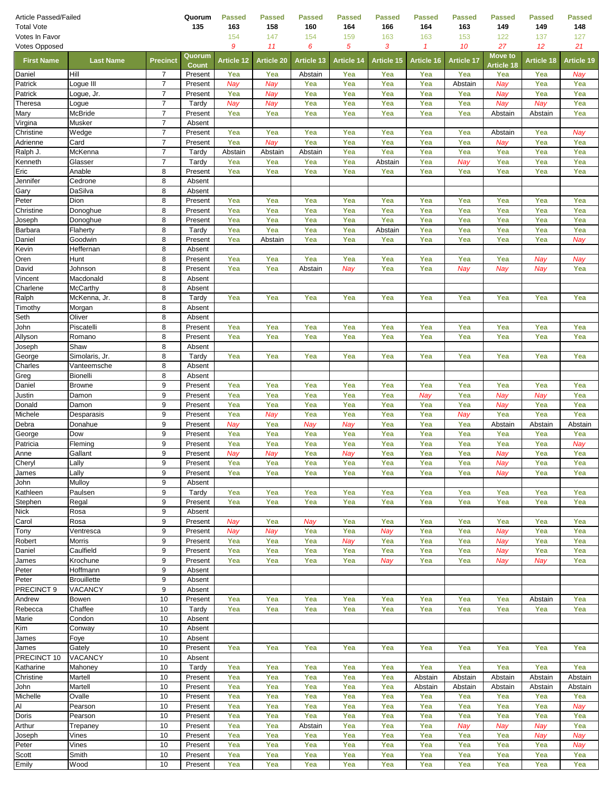| Article Passed/Failed<br><b>Total Vote</b> |                                  |                                  | Quorum<br>135          | <b>Passed</b><br>163 | <b>Passed</b><br>158 | <b>Passed</b><br>160 | <b>Passed</b><br>164 | <b>Passed</b><br>166 | Passed<br>164 | <b>Passed</b><br>163 | <b>Passed</b><br>149         | Passed<br>149  | <b>Passed</b><br>148 |
|--------------------------------------------|----------------------------------|----------------------------------|------------------------|----------------------|----------------------|----------------------|----------------------|----------------------|---------------|----------------------|------------------------------|----------------|----------------------|
| Votes In Favor                             |                                  |                                  |                        | 154                  | 147                  | 154                  | 159                  | 163                  | 163           | 153                  | 122                          | 137            | 127                  |
| <b>Votes Opposed</b>                       |                                  |                                  |                        | 9                    | 11                   | 6                    | 5                    | 3                    | 1             | 10                   | 27                           | 12             | 21                   |
| <b>First Name</b>                          | <b>Last Name</b>                 | <b>Precinct</b>                  | Quorum<br><b>Count</b> | <b>Article 12</b>    | <b>Article 20</b>    | <b>Article 13</b>    | <b>Article 14</b>    | Article 15           | Article 16    | <b>Article 17</b>    | <b>Move to</b><br>Article 18 | Article 18     | <b>Article 19</b>    |
| Daniel                                     | Hill                             | 7                                | Present                | Yea                  | Yea                  | Abstain              | Yea                  | Yea                  | Yea           | Yea                  | Yea                          | Yea            | Nay                  |
| Patrick                                    | Logue III                        | 7                                | Present                | Nay                  | Nay                  | Yea                  | Yea                  | Yea                  | Yea           | Abstain              | Nay                          | Yea            | Yea                  |
| Patrick                                    | _ogue, Jr.                       | $\overline{7}$                   | Present                | Yea                  | Nay                  | Yea                  | Yea                  | Yea                  | Yea           | Yea                  | Nay                          | Yea            | Yea                  |
| Theresa<br>Mary                            | Logue<br><b>McBride</b>          | $\overline{7}$<br>$\overline{7}$ | Tardy<br>Present       | Nay<br>Yea           | Nay<br>Yea           | Yea<br>Yea           | Yea<br>Yea           | Yea<br>Yea           | Yea<br>Yea    | Yea<br>Yea           | Nay<br>Abstain               | Nay<br>Abstain | Yea<br>Yea           |
| Virgina                                    | Musker                           | $\overline{7}$                   | Absent                 |                      |                      |                      |                      |                      |               |                      |                              |                |                      |
| Christine                                  | Wedge                            | 7                                | Present                | Yea                  | Yea                  | Yea                  | Yea                  | Yea                  | Yea           | Yea                  | Abstain                      | Yea            | Nay                  |
| Adrienne                                   | Card                             | $\overline{7}$                   | Present                | Yea                  | Nay                  | Yea                  | Yea                  | Yea                  | Yea           | Yea                  | Nay                          | Yea            | Yea                  |
| Ralph J.                                   | McKenna                          | 7                                | Tardy                  | Abstain              | Abstain              | Abstain              | Yea                  | Yea                  | Yea           | Yea                  | Yea                          | Yea            | Yea                  |
| Kenneth                                    | Glasser                          | $\overline{7}$                   | Tardy                  | Yea                  | Yea                  | Yea                  | Yea                  | Abstain              | Yea           | Nay                  | Yea                          | Yea            | Yea                  |
| Eric<br>Jennifer                           | Anable<br>Cedrone                | 8<br>8                           | Present<br>Absent      | Yea                  | Yea                  | Yea                  | Yea                  | Yea                  | Yea           | Yea                  | Yea                          | Yea            | Yea                  |
| Gary                                       | DaSilva                          | 8                                | Absent                 |                      |                      |                      |                      |                      |               |                      |                              |                |                      |
| Peter                                      | Dion                             | 8                                | Present                | Yea                  | Yea                  | Yea                  | Yea                  | Yea                  | Yea           | Yea                  | Yea                          | Yea            | Yea                  |
| Christine                                  | Donoghue                         | 8                                | Present                | Yea                  | Yea                  | Yea                  | Yea                  | Yea                  | Yea           | Yea                  | Yea                          | Yea            | Yea                  |
| Joseph                                     | Donoghue                         | 8                                | Present                | Yea                  | Yea                  | Yea                  | Yea                  | Yea                  | Yea           | Yea                  | Yea                          | Yea            | Yea                  |
| Barbara                                    | Flaherty                         | 8                                | Tardy                  | Yea                  | Yea                  | Yea                  | Yea                  | Abstain              | Yea           | Yea                  | Yea                          | Yea            | Yea                  |
| Daniel<br>Kevin                            | Goodwin<br>Heffernan             | 8<br>8                           | Present<br>Absent      | Yea                  | Abstain              | Yea                  | Yea                  | Yea                  | Yea           | Yea                  | Yea                          | Yea            | Nay                  |
| Oren                                       | Hunt                             | 8                                | Present                | Yea                  | Yea                  | Yea                  | Yea                  | Yea                  | Yea           | Yea                  | Yea                          | Nay            | Nay                  |
| David                                      | Johnson                          | 8                                | Present                | Yea                  | Yea                  | Abstain              | Nay                  | Yea                  | Yea           | Nay                  | Nay                          | Nay            | Yea                  |
| Vincent                                    | Macdonald                        | 8                                | Absent                 |                      |                      |                      |                      |                      |               |                      |                              |                |                      |
| Charlene                                   | <b>McCarthy</b>                  | 8                                | Absent                 |                      |                      |                      |                      |                      |               |                      |                              |                |                      |
| Ralph                                      | McKenna, Jr.                     | 8                                | Tardy                  | Yea                  | Yea                  | Yea                  | Yea                  | Yea                  | Yea           | Yea                  | Yea                          | Yea            | Yea                  |
| Timothy<br>Seth                            | Morgan<br>Oliver                 | 8<br>8                           | Absent<br>Absent       |                      |                      |                      |                      |                      |               |                      |                              |                |                      |
| John                                       | Piscatelli                       | 8                                | Present                | Yea                  | Yea                  | Yea                  | Yea                  | Yea                  | Yea           | Yea                  | Yea                          | Yea            | Yea                  |
| Allyson                                    | Romano                           | 8                                | Present                | Yea                  | Yea                  | Yea                  | Yea                  | Yea                  | Yea           | Yea                  | Yea                          | Yea            | Yea                  |
| Joseph                                     | Shaw                             | 8                                | Absent                 |                      |                      |                      |                      |                      |               |                      |                              |                |                      |
| George                                     | Simolaris, Jr.                   | 8                                | Tardy                  | Yea                  | Yea                  | Yea                  | Yea                  | Yea                  | Yea           | Yea                  | Yea                          | Yea            | Yea                  |
| Charles                                    | Vanteemsche                      | 8                                | Absent                 |                      |                      |                      |                      |                      |               |                      |                              |                |                      |
| Greg<br>Daniel                             | <b>Bionelli</b><br><b>Browne</b> | 8<br>9                           | Absent<br>Present      | Yea                  | Yea                  | Yea                  | Yea                  | Yea                  | Yea           | Yea                  | Yea                          | Yea            | Yea                  |
| Justin                                     | Damon                            | 9                                | Present                | Yea                  | Yea                  | Yea                  | Yea                  | Yea                  | Nay           | Yea                  | Nay                          | Nay            | Yea                  |
| Donald                                     | Damon                            | 9                                | Present                | Yea                  | Yea                  | Yea                  | Yea                  | Yea                  | Yea           | Yea                  | Nay                          | Yea            | Yea                  |
| Michele                                    | Desparasis                       | 9                                | Present                | Yea                  | Nay                  | Yea                  | Yea                  | Yea                  | Yea           | Nay                  | Yea                          | Yea            | Yea                  |
| Debra                                      | Donahue                          | 9                                | Present                | Nay                  | Yea                  | Nay                  | Nay                  | Yea                  | Yea           | Yea                  | Abstain                      | Abstain        | Abstain              |
| George                                     | Dow                              | 9                                | Present                | Yea                  | Yea                  | Yea                  | Yea                  | Yea                  | Yea           | Yea                  | Yea                          | Yea            | Yea                  |
| Patricia<br>Anne                           | Fleming<br>Gallant               | 9<br>9                           | Present<br>Present     | Yea<br>Nay           | Yea<br>Nay           | Yea<br>Yea           | Yea<br>Nay           | Yea<br>Yea           | Yea<br>Yea    | Yea<br>Yea           | Yea<br>Nay                   | Yea<br>Yea     | Nay<br>Yea           |
| Cheryl                                     | Lally                            | 9                                | Present                | Yea                  | Yea                  | Yea                  | Yea                  | Yea                  | Yea           | Yea                  | Nay                          | Yea            | Yea                  |
| James                                      | Lally                            | 9                                | Present                | Yea                  | Yea                  | Yea                  | Yea                  | Yea                  | Yea           | Yea                  | Nay                          | Yea            | Yea                  |
| John                                       | Mulloy                           | 9                                | Absent                 |                      |                      |                      |                      |                      |               |                      |                              |                |                      |
| Kathleen                                   | Paulsen                          | 9                                | Tardy                  | Yea                  | Yea                  | Yea                  | Yea                  | Yea                  | Yea           | Yea                  | Yea                          | Yea            | Yea                  |
| Stephen                                    | Regal                            | 9                                | Present                | Yea                  | Yea                  | Yea                  | Yea                  | Yea                  | Yea           | Yea                  | Yea                          | Yea            | Yea                  |
| <b>Nick</b><br>Carol                       | Rosa<br>Rosa                     | 9<br>9                           | Absent<br>Present      | Nay                  | Yea                  | Nay                  | Yea                  | Yea                  | Yea           | Yea                  | Yea                          | Yea            | Yea                  |
| Tony                                       | Ventresca                        | 9                                | Present                | Nay                  | Nay                  | Yea                  | Yea                  | Nay                  | Yea           | Yea                  | Nay                          | Yea            | Yea                  |
| Robert                                     | <b>Morris</b>                    | 9                                | Present                | Yea                  | Yea                  | Yea                  | Nay                  | Yea                  | Yea           | Yea                  | Nay                          | Yea            | Yea                  |
| Daniel                                     | Caulfield                        | 9                                | Present                | Yea                  | Yea                  | Yea                  | Yea                  | Yea                  | Yea           | Yea                  | Nay                          | Yea            | Yea                  |
| James                                      | Krochune                         | 9                                | Present                | Yea                  | Yea                  | Yea                  | Yea                  | Nay                  | Yea           | Yea                  | Nay                          | Nay            | Yea                  |
| Peter                                      | Hoffmann                         | 9                                | Absent                 |                      |                      |                      |                      |                      |               |                      |                              |                |                      |
| Peter<br>PRECINCT 9                        | <b>Brouillette</b><br>VACANCY    | 9<br>9                           | Absent<br>Absent       |                      |                      |                      |                      |                      |               |                      |                              |                |                      |
| Andrew                                     | Bowen                            | 10                               | Present                | Yea                  | Yea                  | Yea                  | Yea                  | Yea                  | Yea           | Yea                  | Yea                          | Abstain        | Yea                  |
| Rebecca                                    | Chaffee                          | 10                               | Tardy                  | Yea                  | Yea                  | Yea                  | Yea                  | Yea                  | Yea           | Yea                  | Yea                          | Yea            | Yea                  |
| Marie                                      | Condon                           | 10                               | Absent                 |                      |                      |                      |                      |                      |               |                      |                              |                |                      |
| Kim                                        | Conway                           | 10                               | Absent                 |                      |                      |                      |                      |                      |               |                      |                              |                |                      |
| James                                      | Foye                             | 10                               | Absent                 |                      |                      |                      |                      |                      |               |                      |                              |                |                      |
| James<br>PRECINCT 10                       | Gately<br><b>VACANCY</b>         | 10<br>10                         | Present<br>Absent      | Yea                  | Yea                  | Yea                  | Yea                  | Yea                  | Yea           | Yea                  | Yea                          | Yea            | Yea                  |
| Katharine                                  | Mahoney                          | 10                               | Tardy                  | Yea                  | Yea                  | Yea                  | Yea                  | Yea                  | Yea           | Yea                  | Yea                          | Yea            | Yea                  |
| Christine                                  | Martell                          | 10                               | Present                | Yea                  | Yea                  | Yea                  | Yea                  | Yea                  | Abstain       | Abstain              | Abstain                      | Abstain        | Abstain              |
| John                                       | Martell                          | 10                               | Present                | Yea                  | Yea                  | Yea                  | Yea                  | Yea                  | Abstain       | Abstain              | Abstain                      | Abstain        | Abstain              |
| Michelle                                   | Ovalle                           | 10                               | Present                | Yea                  | Yea                  | Yea                  | Yea                  | Yea                  | Yea           | Yea                  | Yea                          | Yea            | Yea                  |
| Al                                         | Pearson                          | 10                               | Present                | Yea                  | Yea                  | Yea                  | Yea                  | Yea                  | Yea           | Yea                  | Yea                          | Yea            | Nay                  |
| Doris                                      | Pearson                          | 10                               | Present                | Yea                  | Yea                  | Yea                  | Yea                  | Yea                  | Yea           | Yea                  | Yea                          | Yea            | Yea                  |
| Arthur<br>Joseph                           | Trepaney<br>Vines                | 10<br>10                         | Present<br>Present     | Yea<br>Yea           | Yea<br>Yea           | Abstain<br>Yea       | Yea<br>Yea           | Yea<br>Yea           | Yea<br>Yea    | Nay<br>Yea           | Nay<br>Yea                   | Nay<br>Nay     | Yea<br>Nay           |
| Peter                                      | Vines                            | 10                               | Present                | Yea                  | Yea                  | Yea                  | Yea                  | Yea                  | Yea           | Yea                  | Yea                          | Yea            | Nay                  |
| Scott                                      | Smith                            | 10                               | Present                | Yea                  | Yea                  | Yea                  | Yea                  | Yea                  | Yea           | Yea                  | Yea                          | Yea            | Yea                  |
| Emily                                      | Wood                             | 10                               | Present                | Yea                  | Yea                  | Yea                  | Yea                  | Yea                  | Yea           | Yea                  | Yea                          | Yea            | Yea                  |